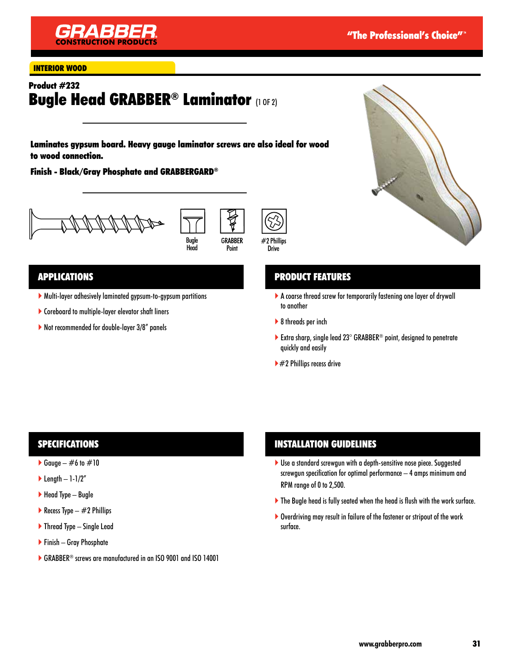

#### INTERIOR WOOD

# Product #232 **Bugle Head GRABBER® Laminator (1 OF 2)**

Laminates gypsum board. Heavy gauge laminator screws are also ideal for wood to wood connection.

Finish - Black/Gray Phosphate and GRABBERGARD®







### APPLICATIONS

- Multi-layer adhesively laminated gypsum-to-gypsum partitions
- Coreboard to multiple-layer elevator shaft liners
- ▶ Not recommended for double-layer 3/8" panels



## PRODUCT FEATURES

- A coarse thread screw for temporarily fastening one layer of drywall to another
- ▶ 8 threads per inch
- Extra sharp, single lead  $23^\circ$  GRABBER<sup>®</sup> point, designed to penetrate quickly and easily
- $\blacktriangleright$  #2 Phillips recess drive

### SPECIFICATIONS

- Gauge  $\#6$  to  $\#10$
- $\blacktriangleright$  Length 1-1/2"
- $\blacktriangleright$  Head Type Bugle
- Recess Type  $-$  #2 Phillips
- $\blacktriangleright$  Thread Type Single Lead
- Finish Gray Phosphate
- ▶ GRABBER<sup>®</sup> screws are manufactured in an ISO 9001 and ISO 14001

## INSTALLATION GUIDELINES

- ▶ Use a standard screwgun with a depth-sensitive nose piece. Suggested screwgun specification for optimal performance – 4 amps minimum and RPM range of 0 to 2,500.
- The Bugle head is fully seated when the head is flush with the work surface.
- ▶ Overdriving may result in failure of the fastener or stripout of the work surface.